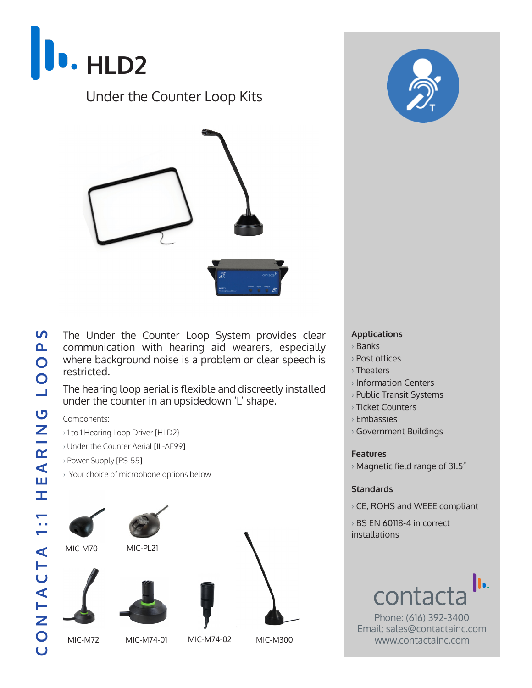

## Under the Counter Loop Kits



The Under the Counter Loop System provides clear communication with hearing aid wearers, especially where background noise is a problem or clear speech is restricted.

The hearing loop aerial is flexible and discreetly installed under the counter in an upsidedown 'L' shape.

Components:

- › 1 to 1 Hearing Loop Driver [HLD2}
- › Under the Counter Aerial [IL-AE99]
- › Power Supply [PS-55]
- › Your choice of microphone options below





#### **Applications**

- › Banks
- › Post offices
- › Theaters
- › Information Centers
- › Public Transit Systems
- › Ticket Counters
- › Embassies
- › Government Buildings

### **Features**

 $\rightarrow$  Magnetic field range of 31.5"

### **Standards**

› CE, ROHS and WEEE compliant

› BS EN 60118-4 in correct installations



Phone: (616) 392-3400 Email: sales@contactainc.com www.contactainc.com

S